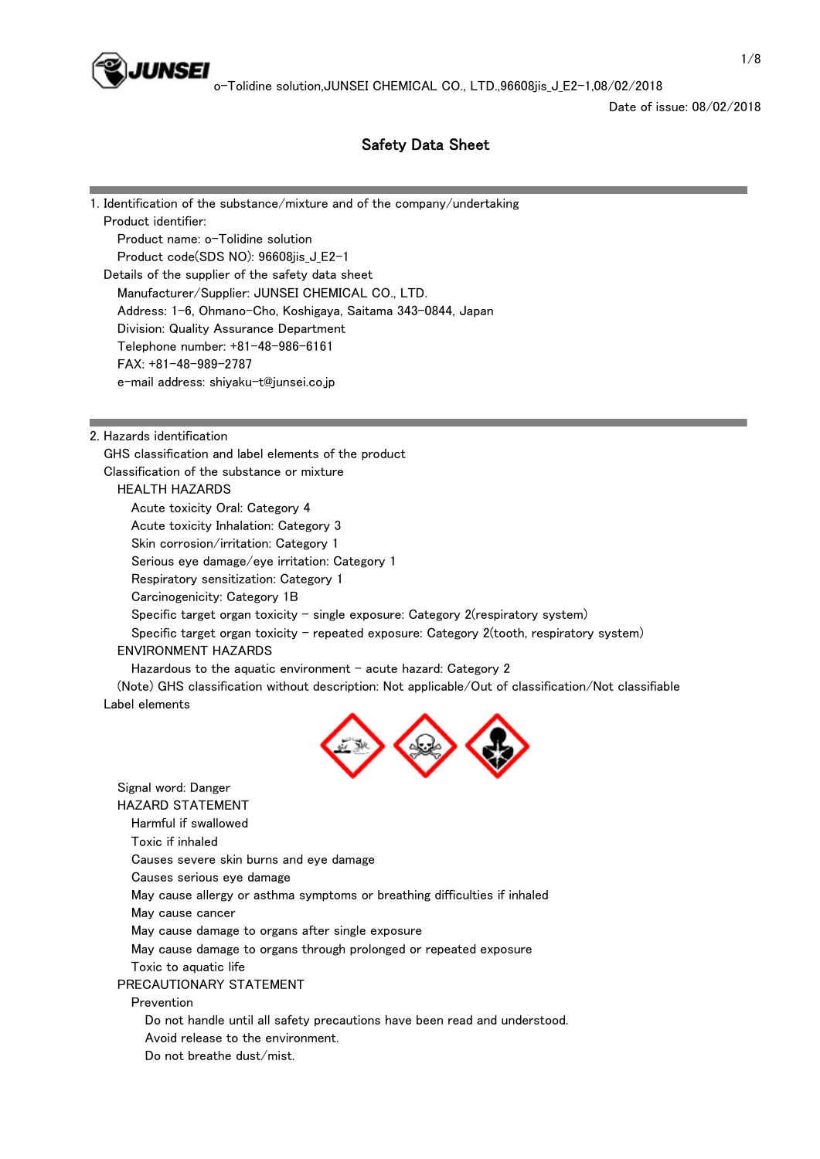

o-Tolidine solution,JUNSEI CHEMICAL CO., LTD.,96608jis J E2-1,08/02/2018

Date of issue: 08/02/2018

# Safety Data Sheet

1. Identification of the substance/mixture and of the company/undertaking Product identifier: Product name: o-Tolidine solution Product code(SDS NO): 96608jis\_J\_E2-1 Details of the supplier of the safety data sheet Manufacturer/Supplier: JUNSEI CHEMICAL CO., LTD. Address: 1-6, Ohmano-Cho, Koshigaya, Saitama 343-0844, Japan Division: Quality Assurance Department Telephone number: +81-48-986-6161 FAX: +81-48-989-2787 e-mail address: shiyaku-t@junsei.co.jp

2. Hazards identification

 GHS classification and label elements of the product Classification of the substance or mixture HEALTH HAZARDS Acute toxicity Oral: Category 4

Acute toxicity Inhalation: Category 3

Skin corrosion/irritation: Category 1

Serious eye damage/eye irritation: Category 1

Respiratory sensitization: Category 1

Carcinogenicity: Category 1B

Specific target organ toxicity - single exposure: Category 2(respiratory system)

Specific target organ toxicity - repeated exposure: Category 2(tooth, respiratory system)

# ENVIRONMENT HAZARDS

Hazardous to the aquatic environment  $-$  acute hazard: Category 2

 (Note) GHS classification without description: Not applicable/Out of classification/Not classifiable Label elements



 Signal word: Danger HAZARD STATEMENT Harmful if swallowed Toxic if inhaled Causes severe skin burns and eye damage Causes serious eye damage May cause allergy or asthma symptoms or breathing difficulties if inhaled May cause cancer May cause damage to organs after single exposure May cause damage to organs through prolonged or repeated exposure Toxic to aquatic life PRECAUTIONARY STATEMENT Prevention Do not handle until all safety precautions have been read and understood. Avoid release to the environment. Do not breathe dust/mist.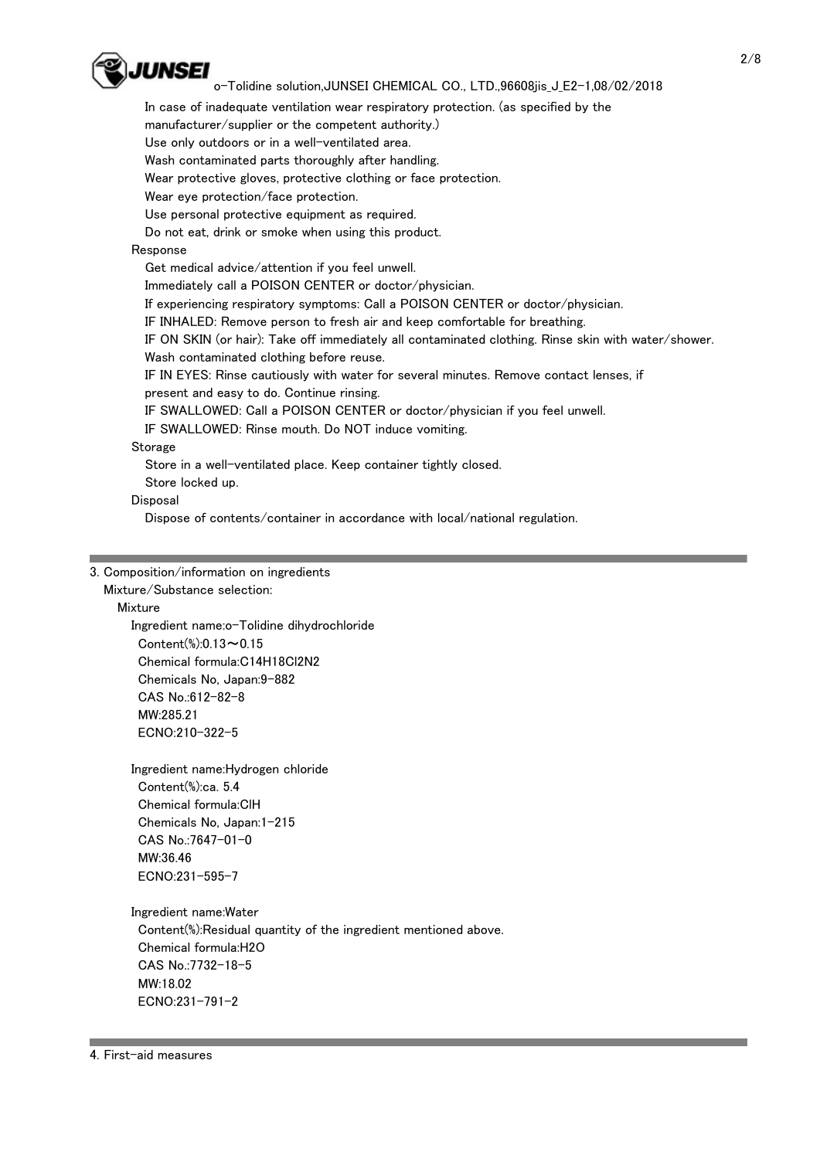

## o-Tolidine solution,JUNSEI CHEMICAL CO., LTD.,96608jis J E2-1,08/02/2018

 In case of inadequate ventilation wear respiratory protection. (as specified by the manufacturer/supplier or the competent authority.)

Use only outdoors or in a well-ventilated area.

Wash contaminated parts thoroughly after handling.

Wear protective gloves, protective clothing or face protection.

Wear eye protection/face protection.

Use personal protective equipment as required.

Do not eat, drink or smoke when using this product.

# Response

 Get medical advice/attention if you feel unwell. Immediately call a POISON CENTER or doctor/physician. If experiencing respiratory symptoms: Call a POISON CENTER or doctor/physician. IF INHALED: Remove person to fresh air and keep comfortable for breathing. IF ON SKIN (or hair): Take off immediately all contaminated clothing. Rinse skin with water/shower. Wash contaminated clothing before reuse. IF IN EYES: Rinse cautiously with water for several minutes. Remove contact lenses, if present and easy to do. Continue rinsing. IF SWALLOWED: Call a POISON CENTER or doctor/physician if you feel unwell. IF SWALLOWED: Rinse mouth. Do NOT induce vomiting. Storage Store in a well-ventilated place. Keep container tightly closed. Store locked up.

Disposal

Dispose of contents/container in accordance with local/national regulation.

#### 3. Composition/information on ingredients

Mixture/Substance selection:

Mixture

 Ingredient name:o-Tolidine dihydrochloride Content(%):0.13~0.15 Chemical formula:C14H18Cl2N2 Chemicals No, Japan:9-882 CAS No.:612-82-8 MW:285.21 ECNO:210-322-5

 Ingredient name:Hydrogen chloride Content(%):ca. 5.4 Chemical formula:ClH Chemicals No, Japan:1-215 CAS No.:7647-01-0 MW:36.46 ECNO:231-595-7

Ingredient name:Water

 Content(%):Residual quantity of the ingredient mentioned above. Chemical formula:H2O CAS No.:7732-18-5 MW:18.02 ECNO:231-791-2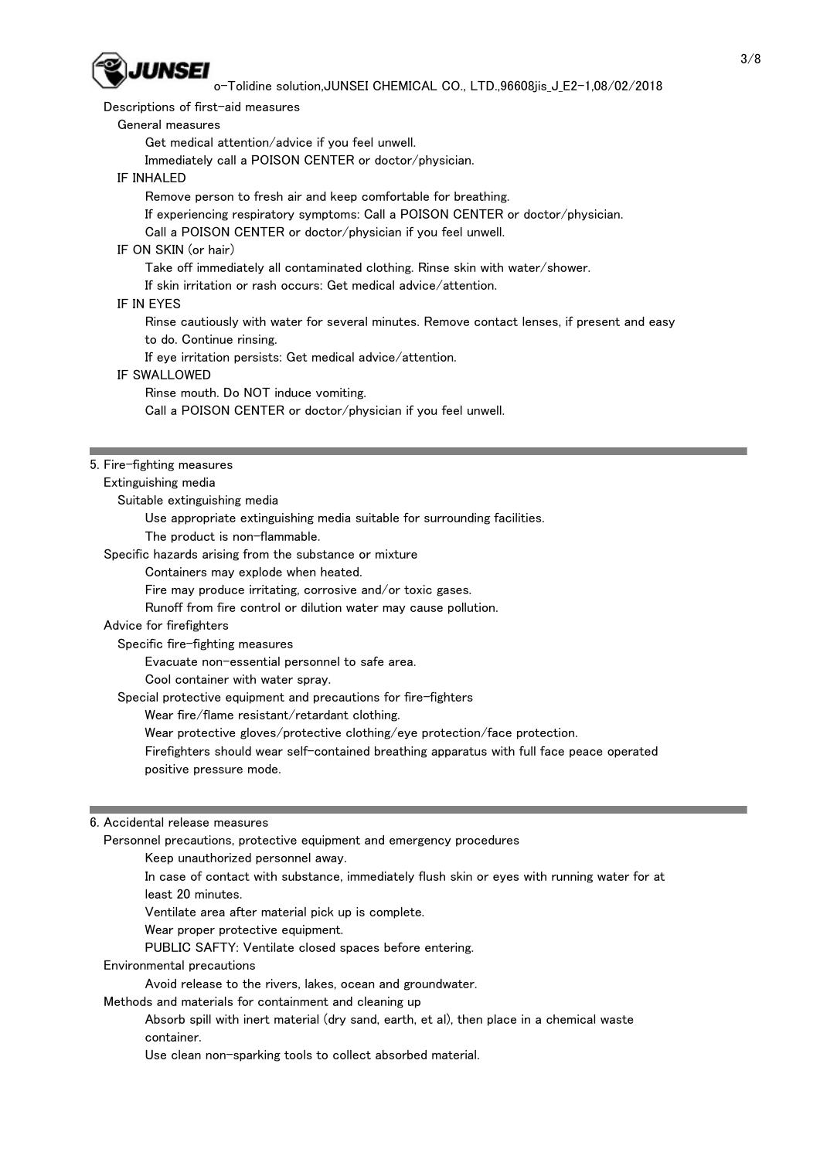

o-Tolidine solution,JUNSEI CHEMICAL CO., LTD.,96608jis\_J\_E2-1,08/02/2018

Descriptions of first-aid measures

General measures

Get medical attention/advice if you feel unwell.

Immediately call a POISON CENTER or doctor/physician.

#### IF INHALED

Remove person to fresh air and keep comfortable for breathing.

If experiencing respiratory symptoms: Call a POISON CENTER or doctor/physician.

Call a POISON CENTER or doctor/physician if you feel unwell.

#### IF ON SKIN (or hair)

Take off immediately all contaminated clothing. Rinse skin with water/shower.

#### If skin irritation or rash occurs: Get medical advice/attention.

#### IF IN EYES

Rinse cautiously with water for several minutes. Remove contact lenses, if present and easy

to do. Continue rinsing.

If eye irritation persists: Get medical advice/attention.

#### IF SWALLOWED

Rinse mouth. Do NOT induce vomiting.

Call a POISON CENTER or doctor/physician if you feel unwell.

#### 5. Fire-fighting measures

#### Extinguishing media

Suitable extinguishing media

Use appropriate extinguishing media suitable for surrounding facilities.

The product is non-flammable.

Specific hazards arising from the substance or mixture

#### Containers may explode when heated.

Fire may produce irritating, corrosive and/or toxic gases.

Runoff from fire control or dilution water may cause pollution.

## Advice for firefighters

Specific fire-fighting measures

Evacuate non-essential personnel to safe area.

Cool container with water spray.

Special protective equipment and precautions for fire-fighters

Wear fire/flame resistant/retardant clothing.

Wear protective gloves/protective clothing/eye protection/face protection.

 Firefighters should wear self-contained breathing apparatus with full face peace operated positive pressure mode.

#### 6. Accidental release measures

Personnel precautions, protective equipment and emergency procedures

Keep unauthorized personnel away.

 In case of contact with substance, immediately flush skin or eyes with running water for at least 20 minutes.

Ventilate area after material pick up is complete.

Wear proper protective equipment.

PUBLIC SAFTY: Ventilate closed spaces before entering.

Environmental precautions

Avoid release to the rivers, lakes, ocean and groundwater.

#### Methods and materials for containment and cleaning up

 Absorb spill with inert material (dry sand, earth, et al), then place in a chemical waste container.

Use clean non-sparking tools to collect absorbed material.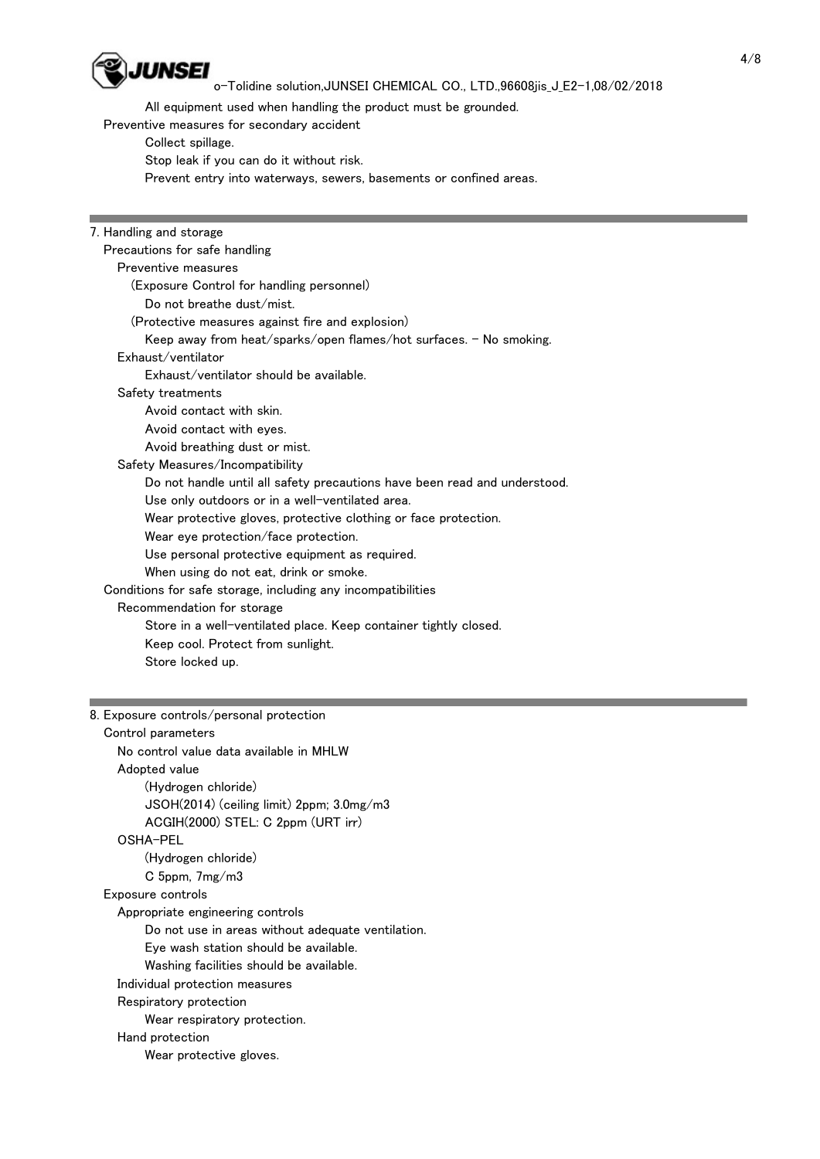

I

# o-Tolidine solution,JUNSEI CHEMICAL CO., LTD.,96608jis\_J\_E2-1,08/02/2018

All equipment used when handling the product must be grounded.

Preventive measures for secondary accident

 Collect spillage. Stop leak if you can do it without risk. Prevent entry into waterways, sewers, basements or confined areas.

| 7. Handling and storage                                                   |
|---------------------------------------------------------------------------|
| Precautions for safe handling                                             |
| Preventive measures                                                       |
| (Exposure Control for handling personnel)                                 |
| Do not breathe dust/mist.                                                 |
| (Protective measures against fire and explosion)                          |
| Keep away from heat/sparks/open flames/hot surfaces. - No smoking.        |
| Exhaust/ventilator                                                        |
| Exhaust/ventilator should be available.                                   |
| Safety treatments                                                         |
| Avoid contact with skin.                                                  |
| Avoid contact with eyes.                                                  |
| Avoid breathing dust or mist.                                             |
| Safety Measures/Incompatibility                                           |
| Do not handle until all safety precautions have been read and understood. |
| Use only outdoors or in a well-ventilated area.                           |
| Wear protective gloves, protective clothing or face protection.           |
| Wear eye protection/face protection.                                      |
| Use personal protective equipment as required.                            |
| When using do not eat, drink or smoke.                                    |
| Conditions for safe storage, including any incompatibilities              |
| Recommendation for storage                                                |
| Store in a well-ventilated place. Keep container tightly closed.          |
| Keep cool. Protect from sunlight.                                         |
| Store locked up.                                                          |
|                                                                           |
|                                                                           |

# 8. Exposure controls/personal protection

| Control parameters                                |
|---------------------------------------------------|
| No control value data available in MHLW           |
| Adopted value                                     |
| (Hydrogen chloride)                               |
| $JSOH(2014)$ (ceiling limit) 2ppm; $3.0mg/m3$     |
| ACGIH(2000) STEL: C 2ppm (URT irr)                |
| OSHA-PEL                                          |
| (Hydrogen chloride)                               |
| C 5ppm, $7mg/m3$                                  |
| Exposure controls                                 |
| Appropriate engineering controls                  |
| Do not use in areas without adequate ventilation. |
| Eye wash station should be available.             |
| Washing facilities should be available.           |
| Individual protection measures                    |
| Respiratory protection                            |
| Wear respiratory protection.                      |
| Hand protection                                   |
| Wear protective gloves.                           |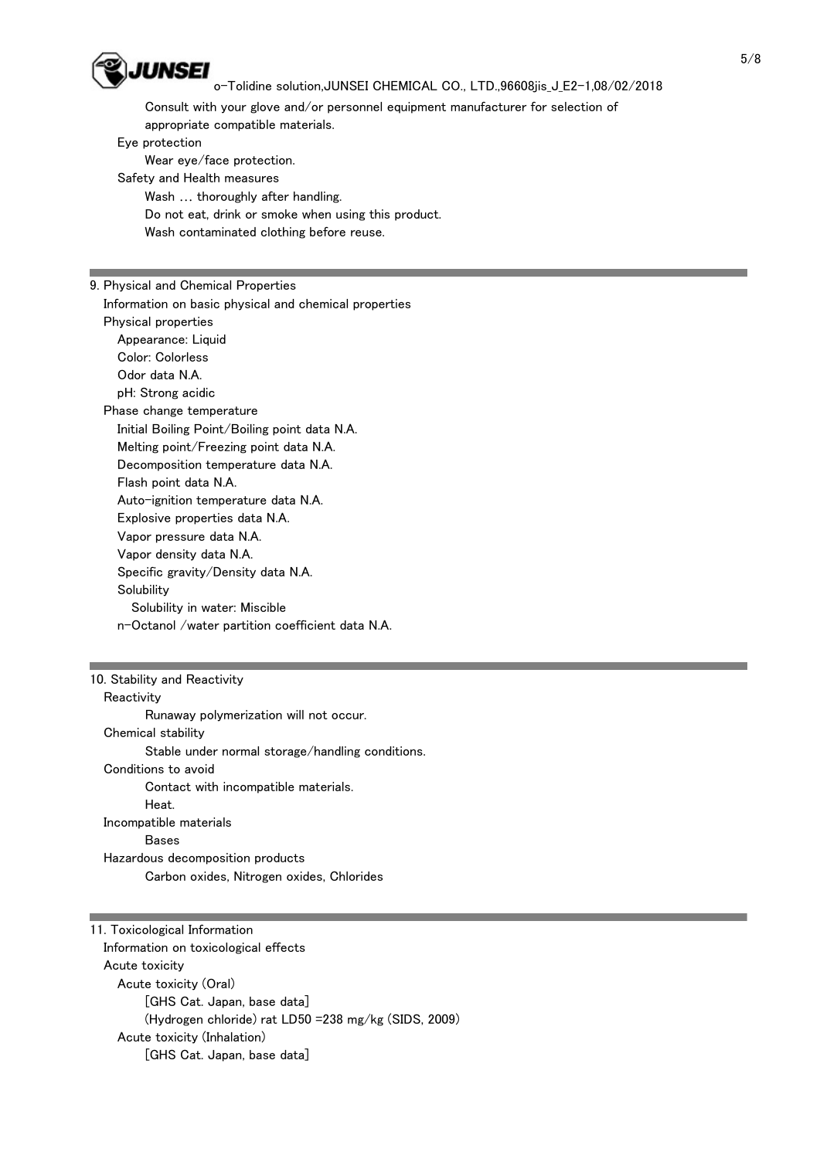

## o-Tolidine solution,JUNSEI CHEMICAL CO., LTD.,96608jis J E2-1,08/02/2018

 Consult with your glove and/or personnel equipment manufacturer for selection of appropriate compatible materials.

Eye protection

Wear eye/face protection.

Safety and Health measures

 Wash … thoroughly after handling. Do not eat, drink or smoke when using this product. Wash contaminated clothing before reuse.

#### 9. Physical and Chemical Properties

 Information on basic physical and chemical properties Physical properties

 Appearance: Liquid Color: Colorless Odor data N.A. pH: Strong acidic

 Phase change temperature Initial Boiling Point/Boiling point data N.A. Melting point/Freezing point data N.A. Decomposition temperature data N.A. Flash point data N.A. Auto-ignition temperature data N.A. Explosive properties data N.A. Vapor pressure data N.A. Vapor density data N.A. Specific gravity/Density data N.A. **Solubility**  Solubility in water: Miscible n-Octanol /water partition coefficient data N.A.

# 10. Stability and Reactivity

**Reactivity**  Runaway polymerization will not occur. Chemical stability Stable under normal storage/handling conditions. Conditions to avoid Contact with incompatible materials. Heat. Incompatible materials **Bases**  Hazardous decomposition products Carbon oxides, Nitrogen oxides, Chlorides

11. Toxicological Information Information on toxicological effects Acute toxicity Acute toxicity (Oral) [GHS Cat. Japan, base data] (Hydrogen chloride) rat LD50 =238 mg/kg (SIDS, 2009) Acute toxicity (Inhalation) [GHS Cat. Japan, base data]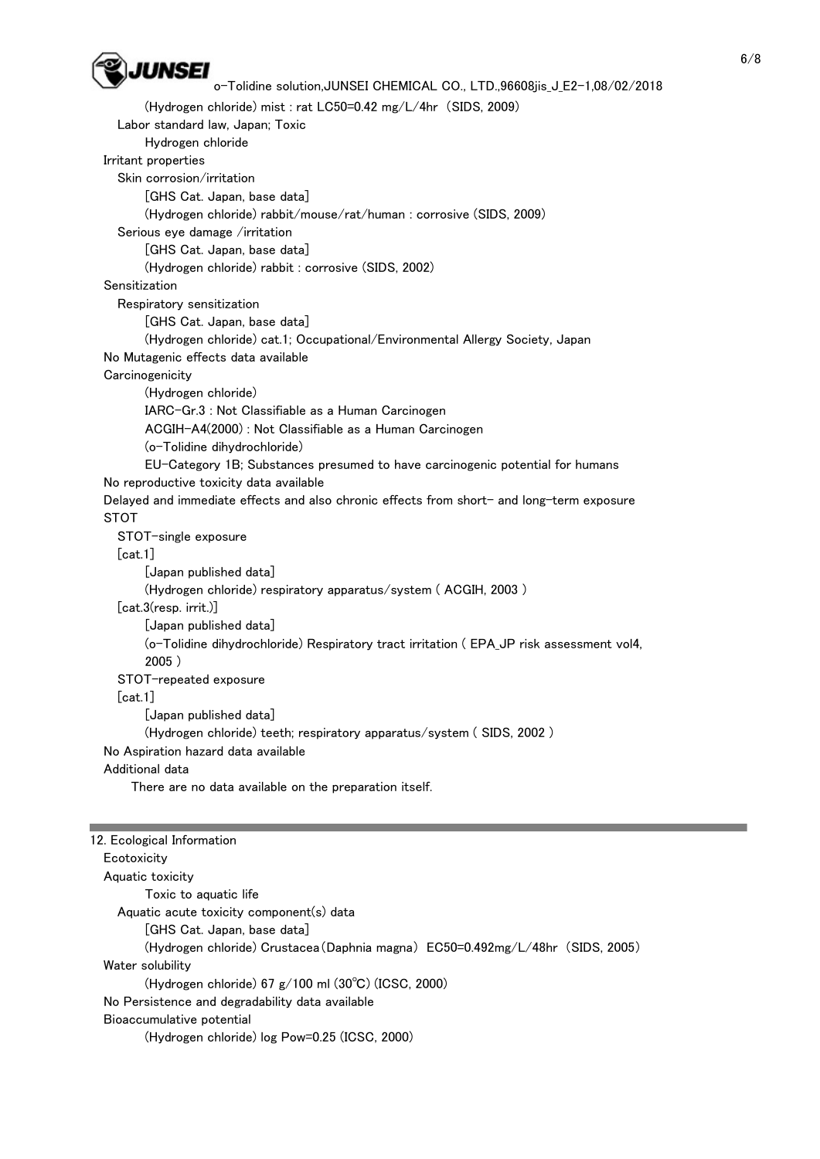

 $12.$  Equation Info

```
o-Tolidine solution,JUNSEI CHEMICAL CO., LTD.,96608jis J E2-1,08/02/2018
```
 (Hydrogen chloride) mist : rat LC50=0.42 mg/L/4hr (SIDS, 2009) Labor standard law, Japan; Toxic Hydrogen chloride Irritant properties Skin corrosion/irritation [GHS Cat. Japan, base data] (Hydrogen chloride) rabbit/mouse/rat/human : corrosive (SIDS, 2009) Serious eye damage /irritation [GHS Cat. Japan, base data] (Hydrogen chloride) rabbit : corrosive (SIDS, 2002) Sensitization Respiratory sensitization [GHS Cat. Japan, base data] (Hydrogen chloride) cat.1; Occupational/Environmental Allergy Society, Japan No Mutagenic effects data available **Carcinogenicity**  (Hydrogen chloride) IARC-Gr.3 : Not Classifiable as a Human Carcinogen ACGIH-A4(2000) : Not Classifiable as a Human Carcinogen (o-Tolidine dihydrochloride) EU-Category 1B; Substances presumed to have carcinogenic potential for humans No reproductive toxicity data available Delayed and immediate effects and also chronic effects from short- and long-term exposure STOT STOT-single exposure [cat.1] [Japan published data] (Hydrogen chloride) respiratory apparatus/system ( ACGIH, 2003 ) [cat.3(resp. irrit.)] [Japan published data] (o-Tolidine dihydrochloride) Respiratory tract irritation ( EPA\_JP risk assessment vol4, 2005 ) STOT-repeated exposure [cat.1] [Japan published data] (Hydrogen chloride) teeth; respiratory apparatus/system ( SIDS, 2002 ) No Aspiration hazard data available Additional data There are no data available on the preparation itself.

| TZ. ECOlOgical Information                                                     |
|--------------------------------------------------------------------------------|
| Ecotoxicity                                                                    |
| Aquatic toxicity                                                               |
| Toxic to aquatic life                                                          |
| Aquatic acute toxicity component(s) data                                       |
| [GHS Cat. Japan, base data]                                                    |
| (Hydrogen chloride) Crustacea (Daphnia magna) EC50=0.492mg/L/48hr (SIDS, 2005) |
| Water solubility                                                               |
| (Hydrogen chloride) 67 $g/100$ ml (30°C) (ICSC, 2000)                          |
| No Persistence and degradability data available                                |
| Bioaccumulative potential                                                      |
| (Hydrogen chloride) log Pow=0.25 (ICSC, 2000)                                  |
|                                                                                |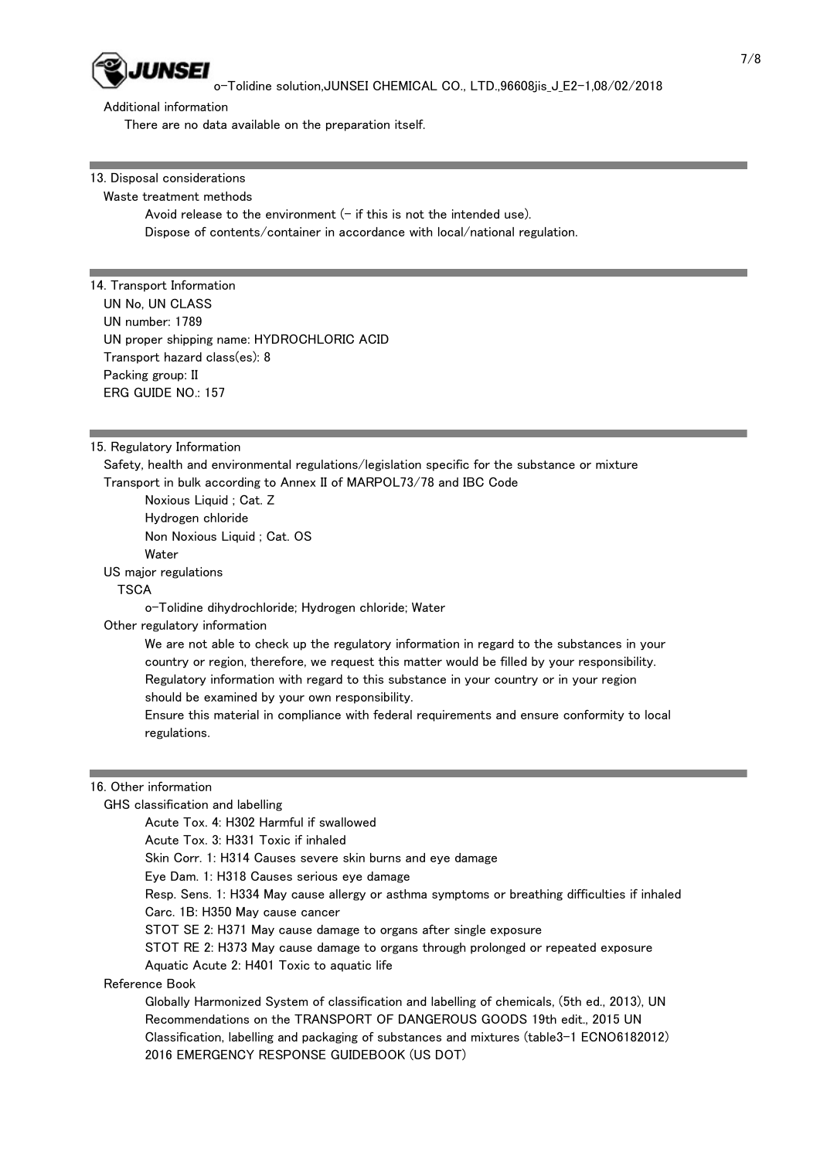

o-Tolidine solution,JUNSEI CHEMICAL CO., LTD.,96608jis\_J\_E2-1,08/02/2018

Additional information

There are no data available on the preparation itself.

13. Disposal considerations

#### Waste treatment methods

Avoid release to the environment  $(-$  if this is not the intended use). Dispose of contents/container in accordance with local/national regulation.

## 14. Transport Information

 UN No, UN CLASS UN number: 1789 UN proper shipping name: HYDROCHLORIC ACID Transport hazard class(es): 8 Packing group: II ERG GUIDE NO.: 157

#### 15. Regulatory Information

 Safety, health and environmental regulations/legislation specific for the substance or mixture Transport in bulk according to Annex II of MARPOL73/78 and IBC Code

 Noxious Liquid ; Cat. Z Hydrogen chloride Non Noxious Liquid ; Cat. OS **Water** US major regulations

# **TSCA**

o-Tolidine dihydrochloride; Hydrogen chloride; Water

2016 EMERGENCY RESPONSE GUIDEBOOK (US DOT)

Other regulatory information

 We are not able to check up the regulatory information in regard to the substances in your country or region, therefore, we request this matter would be filled by your responsibility. Regulatory information with regard to this substance in your country or in your region should be examined by your own responsibility.

 Ensure this material in compliance with federal requirements and ensure conformity to local regulations.

#### 16. Other information

GHS classification and labelling

 Acute Tox. 4: H302 Harmful if swallowed Acute Tox. 3: H331 Toxic if inhaled Skin Corr. 1: H314 Causes severe skin burns and eye damage Eye Dam. 1: H318 Causes serious eye damage Resp. Sens. 1: H334 May cause allergy or asthma symptoms or breathing difficulties if inhaled Carc. 1B: H350 May cause cancer STOT SE 2: H371 May cause damage to organs after single exposure STOT RE 2: H373 May cause damage to organs through prolonged or repeated exposure Aquatic Acute 2: H401 Toxic to aquatic life Reference Book Globally Harmonized System of classification and labelling of chemicals, (5th ed., 2013), UN Recommendations on the TRANSPORT OF DANGEROUS GOODS 19th edit., 2015 UN Classification, labelling and packaging of substances and mixtures (table3-1 ECNO6182012)